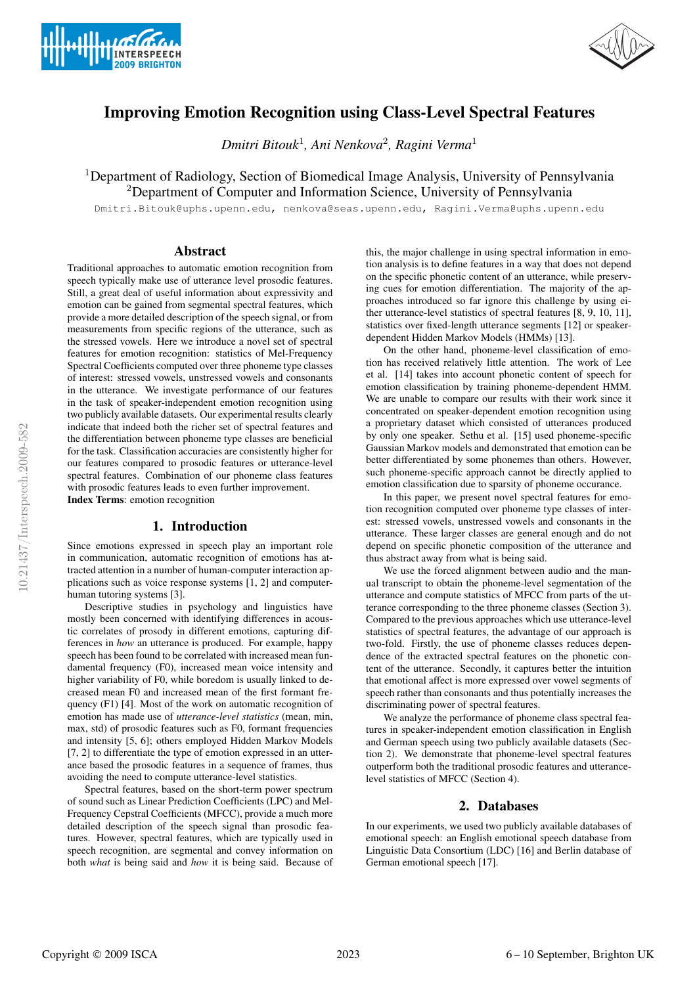



# Improving Emotion Recognition using Class-Level Spectral Features

*Dmitri Bitouk*<sup>1</sup> *, Ani Nenkova*<sup>2</sup> *, Ragini Verma*<sup>1</sup>

<sup>1</sup>Department of Radiology, Section of Biomedical Image Analysis, University of Pennsylvania <sup>2</sup>Department of Computer and Information Science, University of Pennsylvania

Dmitri.Bitouk@uphs.upenn.edu, nenkova@seas.upenn.edu, Ragini.Verma@uphs.upenn.edu

# Abstract

Traditional approaches to automatic emotion recognition from speech typically make use of utterance level prosodic features. Still, a great deal of useful information about expressivity and emotion can be gained from segmental spectral features, which provide a more detailed description of the speech signal, or from measurements from specific regions of the utterance, such as the stressed vowels. Here we introduce a novel set of spectral features for emotion recognition: statistics of Mel-Frequency Spectral Coefficients computed over three phoneme type classes of interest: stressed vowels, unstressed vowels and consonants in the utterance. We investigate performance of our features in the task of speaker-independent emotion recognition using two publicly available datasets. Our experimental results clearly indicate that indeed both the richer set of spectral features and the differentiation between phoneme type classes are beneficial for the task. Classification accuracies are consistently higher for our features compared to prosodic features or utterance-level spectral features. Combination of our phoneme class features with prosodic features leads to even further improvement. Index Terms: emotion recognition

# 1. Introduction

Since emotions expressed in speech play an important role in communication, automatic recognition of emotions has attracted attention in a number of human-computer interaction applications such as voice response systems [1, 2] and computerhuman tutoring systems [3].

Descriptive studies in psychology and linguistics have mostly been concerned with identifying differences in acoustic correlates of prosody in different emotions, capturing differences in *how* an utterance is produced. For example, happy speech has been found to be correlated with increased mean fundamental frequency (F0), increased mean voice intensity and higher variability of F0, while boredom is usually linked to decreased mean F0 and increased mean of the first formant frequency (F1) [4]. Most of the work on automatic recognition of emotion has made use of *utterance-level statistics* (mean, min, max, std) of prosodic features such as F0, formant frequencies and intensity [5, 6]; others employed Hidden Markov Models [7, 2] to differentiate the type of emotion expressed in an utterance based the prosodic features in a sequence of frames, thus avoiding the need to compute utterance-level statistics.

Spectral features, based on the short-term power spectrum of sound such as Linear Prediction Coefficients (LPC) and Mel-Frequency Cepstral Coefficients (MFCC), provide a much more detailed description of the speech signal than prosodic features. However, spectral features, which are typically used in speech recognition, are segmental and convey information on both *what* is being said and *how* it is being said. Because of this, the major challenge in using spectral information in emotion analysis is to define features in a way that does not depend on the specific phonetic content of an utterance, while preserving cues for emotion differentiation. The majority of the approaches introduced so far ignore this challenge by using either utterance-level statistics of spectral features [8, 9, 10, 11], statistics over fixed-length utterance segments [12] or speakerdependent Hidden Markov Models (HMMs) [13].

On the other hand, phoneme-level classification of emotion has received relatively little attention. The work of Lee et al. [14] takes into account phonetic content of speech for emotion classification by training phoneme-dependent HMM. We are unable to compare our results with their work since it concentrated on speaker-dependent emotion recognition using a proprietary dataset which consisted of utterances produced by only one speaker. Sethu et al. [15] used phoneme-specific Gaussian Markov models and demonstrated that emotion can be better differentiated by some phonemes than others. However, such phoneme-specific approach cannot be directly applied to emotion classification due to sparsity of phoneme occurance.

In this paper, we present novel spectral features for emotion recognition computed over phoneme type classes of interest: stressed vowels, unstressed vowels and consonants in the utterance. These larger classes are general enough and do not depend on specific phonetic composition of the utterance and thus abstract away from what is being said.

We use the forced alignment between audio and the manual transcript to obtain the phoneme-level segmentation of the utterance and compute statistics of MFCC from parts of the utterance corresponding to the three phoneme classes (Section 3). Compared to the previous approaches which use utterance-level statistics of spectral features, the advantage of our approach is two-fold. Firstly, the use of phoneme classes reduces dependence of the extracted spectral features on the phonetic content of the utterance. Secondly, it captures better the intuition that emotional affect is more expressed over vowel segments of speech rather than consonants and thus potentially increases the discriminating power of spectral features.

We analyze the performance of phoneme class spectral features in speaker-independent emotion classification in English and German speech using two publicly available datasets (Section 2). We demonstrate that phoneme-level spectral features outperform both the traditional prosodic features and utterancelevel statistics of MFCC (Section 4).

# 2. Databases

In our experiments, we used two publicly available databases of emotional speech: an English emotional speech database from Linguistic Data Consortium (LDC) [16] and Berlin database of German emotional speech [17].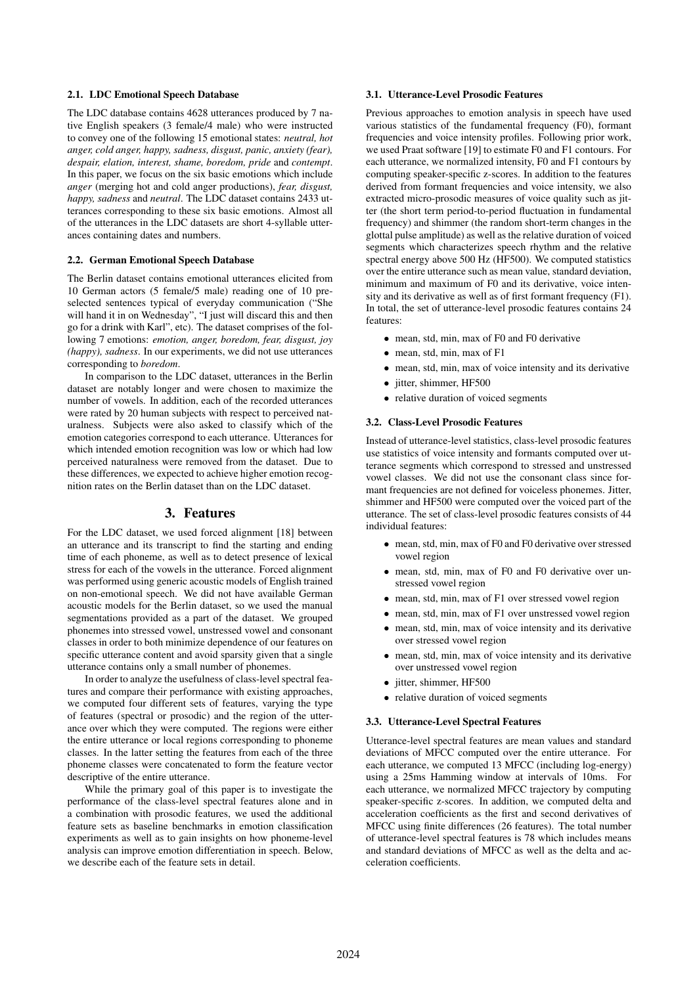### 2.1. LDC Emotional Speech Database

The LDC database contains 4628 utterances produced by 7 native English speakers (3 female/4 male) who were instructed to convey one of the following 15 emotional states: *neutral, hot anger, cold anger, happy, sadness, disgust, panic, anxiety (fear), despair, elation, interest, shame, boredom, pride* and *contempt*. In this paper, we focus on the six basic emotions which include *anger* (merging hot and cold anger productions), *fear, disgust, happy, sadness* and *neutral*. The LDC dataset contains 2433 utterances corresponding to these six basic emotions. Almost all of the utterances in the LDC datasets are short 4-syllable utterances containing dates and numbers.

#### 2.2. German Emotional Speech Database

The Berlin dataset contains emotional utterances elicited from 10 German actors (5 female/5 male) reading one of 10 preselected sentences typical of everyday communication ("She will hand it in on Wednesday", "I just will discard this and then go for a drink with Karl", etc). The dataset comprises of the following 7 emotions: *emotion, anger, boredom, fear, disgust, joy (happy), sadness*. In our experiments, we did not use utterances corresponding to *boredom*.

In comparison to the LDC dataset, utterances in the Berlin dataset are notably longer and were chosen to maximize the number of vowels. In addition, each of the recorded utterances were rated by 20 human subjects with respect to perceived naturalness. Subjects were also asked to classify which of the emotion categories correspond to each utterance. Utterances for which intended emotion recognition was low or which had low perceived naturalness were removed from the dataset. Due to these differences, we expected to achieve higher emotion recognition rates on the Berlin dataset than on the LDC dataset.

# 3. Features

For the LDC dataset, we used forced alignment [18] between an utterance and its transcript to find the starting and ending time of each phoneme, as well as to detect presence of lexical stress for each of the vowels in the utterance. Forced alignment was performed using generic acoustic models of English trained on non-emotional speech. We did not have available German acoustic models for the Berlin dataset, so we used the manual segmentations provided as a part of the dataset. We grouped phonemes into stressed vowel, unstressed vowel and consonant classes in order to both minimize dependence of our features on specific utterance content and avoid sparsity given that a single utterance contains only a small number of phonemes.

In order to analyze the usefulness of class-level spectral features and compare their performance with existing approaches, we computed four different sets of features, varying the type of features (spectral or prosodic) and the region of the utterance over which they were computed. The regions were either the entire utterance or local regions corresponding to phoneme classes. In the latter setting the features from each of the three phoneme classes were concatenated to form the feature vector descriptive of the entire utterance.

While the primary goal of this paper is to investigate the performance of the class-level spectral features alone and in a combination with prosodic features, we used the additional feature sets as baseline benchmarks in emotion classification experiments as well as to gain insights on how phoneme-level analysis can improve emotion differentiation in speech. Below, we describe each of the feature sets in detail.

# 3.1. Utterance-Level Prosodic Features

Previous approaches to emotion analysis in speech have used various statistics of the fundamental frequency (F0), formant frequencies and voice intensity profiles. Following prior work, we used Praat software [19] to estimate F0 and F1 contours. For each utterance, we normalized intensity, F0 and F1 contours by computing speaker-specific z-scores. In addition to the features derived from formant frequencies and voice intensity, we also extracted micro-prosodic measures of voice quality such as jitter (the short term period-to-period fluctuation in fundamental frequency) and shimmer (the random short-term changes in the glottal pulse amplitude) as well as the relative duration of voiced segments which characterizes speech rhythm and the relative spectral energy above 500 Hz (HF500). We computed statistics over the entire utterance such as mean value, standard deviation, minimum and maximum of F0 and its derivative, voice intensity and its derivative as well as of first formant frequency (F1). In total, the set of utterance-level prosodic features contains 24 features:

- mean, std, min, max of F0 and F0 derivative
- mean, std, min, max of F1
- mean, std, min, max of voice intensity and its derivative
- jitter, shimmer, HF500
- relative duration of voiced segments

#### 3.2. Class-Level Prosodic Features

Instead of utterance-level statistics, class-level prosodic features use statistics of voice intensity and formants computed over utterance segments which correspond to stressed and unstressed vowel classes. We did not use the consonant class since formant frequencies are not defined for voiceless phonemes. Jitter, shimmer and HF500 were computed over the voiced part of the utterance. The set of class-level prosodic features consists of 44 individual features:

- mean, std, min, max of F0 and F0 derivative over stressed vowel region
- mean, std, min, max of F0 and F0 derivative over unstressed vowel region
- mean, std, min, max of F1 over stressed vowel region
- mean, std, min, max of F1 over unstressed vowel region
- mean, std, min, max of voice intensity and its derivative over stressed vowel region
- mean, std, min, max of voice intensity and its derivative over unstressed vowel region
- jitter, shimmer, HF500
- relative duration of voiced segments

### 3.3. Utterance-Level Spectral Features

Utterance-level spectral features are mean values and standard deviations of MFCC computed over the entire utterance. For each utterance, we computed 13 MFCC (including log-energy) using a 25ms Hamming window at intervals of 10ms. For each utterance, we normalized MFCC trajectory by computing speaker-specific z-scores. In addition, we computed delta and acceleration coefficients as the first and second derivatives of MFCC using finite differences (26 features). The total number of utterance-level spectral features is 78 which includes means and standard deviations of MFCC as well as the delta and acceleration coefficients.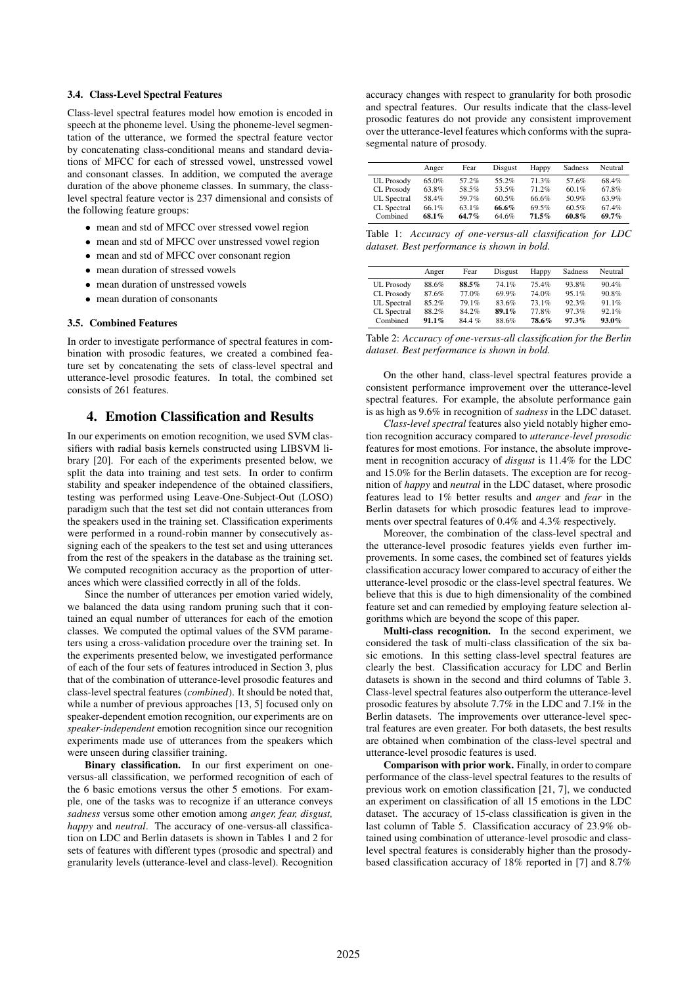### 3.4. Class-Level Spectral Features

Class-level spectral features model how emotion is encoded in speech at the phoneme level. Using the phoneme-level segmentation of the utterance, we formed the spectral feature vector by concatenating class-conditional means and standard deviations of MFCC for each of stressed vowel, unstressed vowel and consonant classes. In addition, we computed the average duration of the above phoneme classes. In summary, the classlevel spectral feature vector is 237 dimensional and consists of the following feature groups:

- mean and std of MFCC over stressed vowel region
- mean and std of MFCC over unstressed vowel region
- mean and std of MFCC over consonant region
- mean duration of stressed vowels
- mean duration of unstressed vowels
- mean duration of consonants

#### 3.5. Combined Features

In order to investigate performance of spectral features in combination with prosodic features, we created a combined feature set by concatenating the sets of class-level spectral and utterance-level prosodic features. In total, the combined set consists of 261 features.

# 4. Emotion Classification and Results

In our experiments on emotion recognition, we used SVM classifiers with radial basis kernels constructed using LIBSVM library [20]. For each of the experiments presented below, we split the data into training and test sets. In order to confirm stability and speaker independence of the obtained classifiers, testing was performed using Leave-One-Subject-Out (LOSO) paradigm such that the test set did not contain utterances from the speakers used in the training set. Classification experiments were performed in a round-robin manner by consecutively assigning each of the speakers to the test set and using utterances from the rest of the speakers in the database as the training set. We computed recognition accuracy as the proportion of utterances which were classified correctly in all of the folds.

Since the number of utterances per emotion varied widely, we balanced the data using random pruning such that it contained an equal number of utterances for each of the emotion classes. We computed the optimal values of the SVM parameters using a cross-validation procedure over the training set. In the experiments presented below, we investigated performance of each of the four sets of features introduced in Section 3, plus that of the combination of utterance-level prosodic features and class-level spectral features (*combined*). It should be noted that, while a number of previous approaches [13, 5] focused only on speaker-dependent emotion recognition, our experiments are on *speaker-independent* emotion recognition since our recognition experiments made use of utterances from the speakers which were unseen during classifier training.

Binary classification. In our first experiment on oneversus-all classification, we performed recognition of each of the 6 basic emotions versus the other 5 emotions. For example, one of the tasks was to recognize if an utterance conveys *sadness* versus some other emotion among *anger, fear, disgust, happy* and *neutral*. The accuracy of one-versus-all classification on LDC and Berlin datasets is shown in Tables 1 and 2 for sets of features with different types (prosodic and spectral) and granularity levels (utterance-level and class-level). Recognition

accuracy changes with respect to granularity for both prosodic and spectral features. Our results indicate that the class-level prosodic features do not provide any consistent improvement over the utterance-level features which conforms with the suprasegmental nature of prosody.

|                    | Anger | Fear  | Disgust | Happy    | Sadness  | Neutral |
|--------------------|-------|-------|---------|----------|----------|---------|
| <b>UL</b> Prosody  | 65.0% | 57.2% | 55.2%   | 71 3%    | 57.6%    | 68.4%   |
| CL Prosody         | 63.8% | 58.5% | 53.5%   | 71.2%    | $60.1\%$ | 67.8%   |
| <b>UL</b> Spectral | 58.4% | 59.7% | 60.5%   | 66.6%    | 50.9%    | 63.9%   |
| CL Spectral        | 66 1% | 63.1% | 66.6%   | 69.5%    | 60.5%    | 674%    |
| Combined           | 68.1% | 64.7% | 64.6%   | $71.5\%$ | 60.8%    | 69.7%   |

Table 1: *Accuracy of one-versus-all classification for LDC dataset. Best performance is shown in bold.*

|                   | Anger    | Fear    | Disgust | Happy | Sadness | Neutral  |
|-------------------|----------|---------|---------|-------|---------|----------|
| <b>UL</b> Prosody | 88.6%    | 88.5%   | 74.1%   | 754%  | 93.8%   | 90.4%    |
| CL Prosody        | 87.6%    | 77.0%   | 69.9%   | 74.0% | $951\%$ | 90.8%    |
| UL Spectral       | 85.2%    | 79.1%   | 83.6%   | 73.1% | 92.3%   | 91.1%    |
| CL Spectral       | 88.2%    | 84.2%   | 89.1%   | 77.8% | 97.3%   | 92.1%    |
| Combined          | $91.1\%$ | $844\%$ | 88.6%   | 78.6% | 97.3%   | $93.0\%$ |

| Table 2: Accuracy of one-versus-all classification for the Berlin |  |
|-------------------------------------------------------------------|--|
| dataset. Best performance is shown in bold.                       |  |

On the other hand, class-level spectral features provide a consistent performance improvement over the utterance-level spectral features. For example, the absolute performance gain is as high as 9.6% in recognition of *sadness* in the LDC dataset.

*Class-level spectral* features also yield notably higher emotion recognition accuracy compared to *utterance-level prosodic* features for most emotions. For instance, the absolute improvement in recognition accuracy of *disgust* is 11.4% for the LDC and 15.0% for the Berlin datasets. The exception are for recognition of *happy* and *neutral* in the LDC dataset, where prosodic features lead to 1% better results and *anger* and *fear* in the Berlin datasets for which prosodic features lead to improvements over spectral features of 0.4% and 4.3% respectively.

Moreover, the combination of the class-level spectral and the utterance-level prosodic features yields even further improvements. In some cases, the combined set of features yields classification accuracy lower compared to accuracy of either the utterance-level prosodic or the class-level spectral features. We believe that this is due to high dimensionality of the combined feature set and can remedied by employing feature selection algorithms which are beyond the scope of this paper.

Multi-class recognition. In the second experiment, we considered the task of multi-class classification of the six basic emotions. In this setting class-level spectral features are clearly the best. Classification accuracy for LDC and Berlin datasets is shown in the second and third columns of Table 3. Class-level spectral features also outperform the utterance-level prosodic features by absolute 7.7% in the LDC and 7.1% in the Berlin datasets. The improvements over utterance-level spectral features are even greater. For both datasets, the best results are obtained when combination of the class-level spectral and utterance-level prosodic features is used.

Comparison with prior work. Finally, in order to compare performance of the class-level spectral features to the results of previous work on emotion classification [21, 7], we conducted an experiment on classification of all 15 emotions in the LDC dataset. The accuracy of 15-class classification is given in the last column of Table 5. Classification accuracy of 23.9% obtained using combination of utterance-level prosodic and classlevel spectral features is considerably higher than the prosodybased classification accuracy of 18% reported in [7] and 8.7%